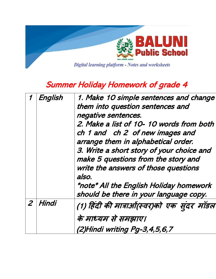

## Summer Holiday Homework of grade 4

| English   | 1. Make 10 simple sentences and change<br>them into question sentences and<br>negative sentences.<br>2. Make a list of 10-10 words from both<br>ch 1 and ch 2 of new images and<br>arrange them in alphabetical order.<br>3. Write a short story of your choice and<br>make 5 questions from the story and<br>write the answers of those questions<br>also.<br>*note* All the English Holiday homework<br>should be there in your language copy. |
|-----------|--------------------------------------------------------------------------------------------------------------------------------------------------------------------------------------------------------------------------------------------------------------------------------------------------------------------------------------------------------------------------------------------------------------------------------------------------|
| $2$ Hindi | (1) हिंदी की मात्राओं(स्वर)को एक सूंदर मॉडल<br>के माध्यम से समझाए।<br>(2)Hindi writing Pg-3,4,5,6,7                                                                                                                                                                                                                                                                                                                                              |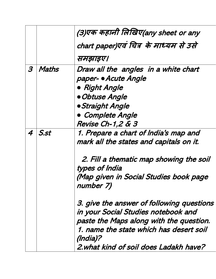|   |       | (3)एक कहानी लिखिए(any sheet or any                  |
|---|-------|-----------------------------------------------------|
|   |       | chart paper)एवं चित्र के माध्यम से उसे              |
|   |       | समझाइए।                                             |
| 3 | Maths | Draw all the angles in a white chart                |
|   |       | paper- • Acute Angle                                |
|   |       | • Right Angle                                       |
|   |       | <b>• Obtuse Angle</b>                               |
|   |       | <b>• Straight Angle</b>                             |
|   |       | Complete Angle                                      |
|   |       | <b>Revise Ch-1,2 &amp; 3</b>                        |
| 4 | S.st  | 1. Prepare a chart of India's map and               |
|   |       | mark all the states and capitals on it.             |
|   |       | 2. Fill a thematic map showing the soil             |
|   |       | types of India                                      |
|   |       | (Map given in Social Studies book page<br>number 7) |
|   |       | 3. give the answer of following questions           |
|   |       | in your Social Studies notebook and                 |
|   |       | paste the Maps along with the question.             |
|   |       | 1. name the state which has desert soil<br>(India)? |
|   |       | 2. what kind of soil does Ladakh have?              |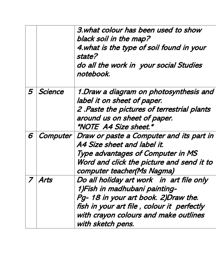|   |         | 3. what colour has been used to show<br>black soil in the map?<br>4. what is the type of soil found in your<br>state?<br>do all the work in your social Studies<br>notebook.                                                   |
|---|---------|--------------------------------------------------------------------------------------------------------------------------------------------------------------------------------------------------------------------------------|
| 5 | Science | 1. Draw a diagram on photosynthesis and<br>label it on sheet of paper.<br>2. Paste the pictures of terrestrial plants<br>around us on sheet of paper.<br><i><b>*NOTE A4 Size sheet.*</b></i>                                   |
| 6 |         | Computer   Draw or paste a Computer and its part in<br>A4 Size sheet and label it.<br><b>Type advantages of Computer in MS</b><br>Word and click the picture and send it to<br>computer teacher(Ms Nagma)                      |
|   | Arts    | Do all holiday art work in art file only<br>1)Fish in madhubani painting-<br>Pg- 18 in your art book. 2) Draw the.<br>fish in your art file, colour it perfectly<br>with crayon colours and make outlines<br>with sketch pens. |